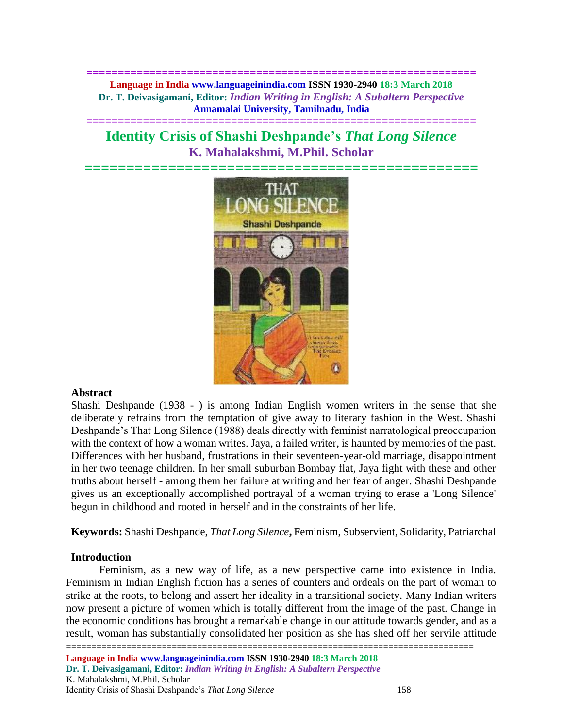**============================================================== Language in India www.languageinindia.com ISSN 1930-2940 18:3 March 2018 Dr. T. Deivasigamani, Editor:** *Indian Writing in English: A Subaltern Perspective* **Annamalai University, Tamilnadu, India**

# **Identity Crisis of Shashi Deshpande's** *That Long Silence* **K. Mahalakshmi, M.Phil. Scholar**

**==============================================================**



## **Abstract**

Shashi Deshpande (1938 - ) is among Indian English women writers in the sense that she deliberately refrains from the temptation of give away to literary fashion in the West. Shashi Deshpande's That Long Silence (1988) deals directly with feminist narratological preoccupation with the context of how a woman writes. Jaya, a failed writer, is haunted by memories of the past. Differences with her husband, frustrations in their seventeen-year-old marriage, disappointment in her two teenage children. In her small suburban Bombay flat, Jaya fight with these and other truths about herself - among them her failure at writing and her fear of anger. Shashi Deshpande gives us an exceptionally accomplished portrayal of a woman trying to erase a 'Long Silence' begun in childhood and rooted in herself and in the constraints of her life.

**Keywords:** Shashi Deshpande, *That Long Silence***,** Feminism, Subservient, Solidarity, Patriarchal

## **Introduction**

Feminism, as a new way of life, as a new perspective came into existence in India. Feminism in Indian English fiction has a series of counters and ordeals on the part of woman to strike at the roots, to belong and assert her ideality in a transitional society. Many Indian writers now present a picture of women which is totally different from the image of the past. Change in the economic conditions has brought a remarkable change in our attitude towards gender, and as a result, woman has substantially consolidated her position as she has shed off her servile attitude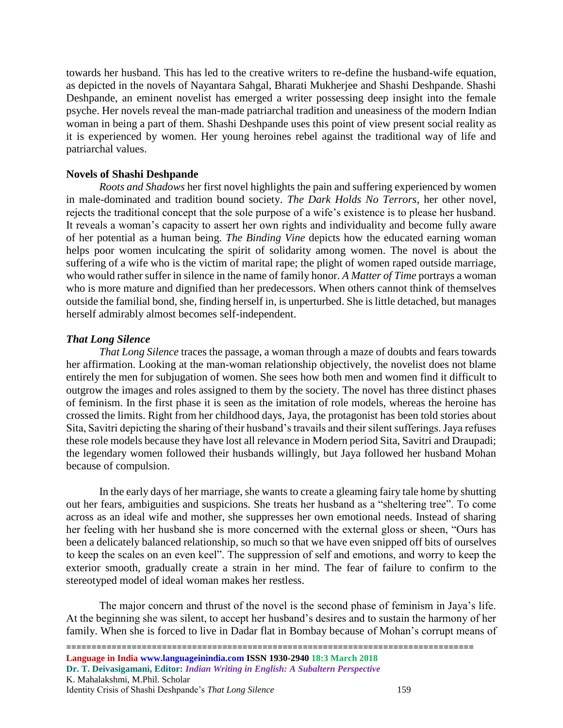towards her husband. This has led to the creative writers to re-define the husband-wife equation, as depicted in the novels of Nayantara Sahgal, Bharati Mukherjee and Shashi Deshpande. Shashi Deshpande, an eminent novelist has emerged a writer possessing deep insight into the female psyche. Her novels reveal the man-made patriarchal tradition and uneasiness of the modern Indian woman in being a part of them. Shashi Deshpande uses this point of view present social reality as it is experienced by women. Her young heroines rebel against the traditional way of life and patriarchal values.

# **Novels of Shashi Deshpande**

*Roots and Shadows* her first novel highlights the pain and suffering experienced by women in male-dominated and tradition bound society. *The Dark Holds No Terrors*, her other novel, rejects the traditional concept that the sole purpose of a wife's existence is to please her husband. It reveals a woman's capacity to assert her own rights and individuality and become fully aware of her potential as a human being. *The Binding Vine* depicts how the educated earning woman helps poor women inculcating the spirit of solidarity among women. The novel is about the suffering of a wife who is the victim of marital rape; the plight of women raped outside marriage, who would rather suffer in silence in the name of family honor. *A Matter of Time* portrays a woman who is more mature and dignified than her predecessors. When others cannot think of themselves outside the familial bond, she, finding herself in, is unperturbed. She is little detached, but manages herself admirably almost becomes self-independent.

# *That Long Silence*

*That Long Silence* traces the passage, a woman through a maze of doubts and fears towards her affirmation. Looking at the man-woman relationship objectively, the novelist does not blame entirely the men for subjugation of women. She sees how both men and women find it difficult to outgrow the images and roles assigned to them by the society. The novel has three distinct phases of feminism. In the first phase it is seen as the imitation of role models, whereas the heroine has crossed the limits. Right from her childhood days, Jaya, the protagonist has been told stories about Sita, Savitri depicting the sharing of their husband's travails and their silent sufferings. Jaya refuses these role models because they have lost all relevance in Modern period Sita, Savitri and Draupadi; the legendary women followed their husbands willingly, but Jaya followed her husband Mohan because of compulsion.

In the early days of her marriage, she wants to create a gleaming fairy tale home by shutting out her fears, ambiguities and suspicions. She treats her husband as a "sheltering tree". To come across as an ideal wife and mother, she suppresses her own emotional needs. Instead of sharing her feeling with her husband she is more concerned with the external gloss or sheen, "Ours has been a delicately balanced relationship, so much so that we have even snipped off bits of ourselves to keep the scales on an even keel". The suppression of self and emotions, and worry to keep the exterior smooth, gradually create a strain in her mind. The fear of failure to confirm to the stereotyped model of ideal woman makes her restless.

The major concern and thrust of the novel is the second phase of feminism in Jaya's life. At the beginning she was silent, to accept her husband's desires and to sustain the harmony of her family. When she is forced to live in Dadar flat in Bombay because of Mohan's corrupt means of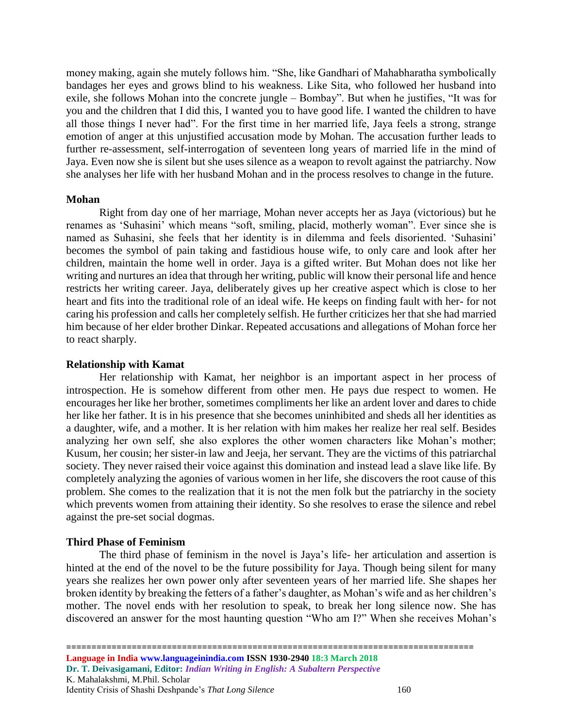money making, again she mutely follows him. "She, like Gandhari of Mahabharatha symbolically bandages her eyes and grows blind to his weakness. Like Sita, who followed her husband into exile, she follows Mohan into the concrete jungle – Bombay". But when he justifies, "It was for you and the children that I did this, I wanted you to have good life. I wanted the children to have all those things I never had". For the first time in her married life, Jaya feels a strong, strange emotion of anger at this unjustified accusation mode by Mohan. The accusation further leads to further re-assessment, self-interrogation of seventeen long years of married life in the mind of Jaya. Even now she is silent but she uses silence as a weapon to revolt against the patriarchy. Now she analyses her life with her husband Mohan and in the process resolves to change in the future.

#### **Mohan**

Right from day one of her marriage, Mohan never accepts her as Jaya (victorious) but he renames as 'Suhasini' which means "soft, smiling, placid, motherly woman". Ever since she is named as Suhasini, she feels that her identity is in dilemma and feels disoriented. 'Suhasini' becomes the symbol of pain taking and fastidious house wife, to only care and look after her children, maintain the home well in order. Jaya is a gifted writer. But Mohan does not like her writing and nurtures an idea that through her writing, public will know their personal life and hence restricts her writing career. Jaya, deliberately gives up her creative aspect which is close to her heart and fits into the traditional role of an ideal wife. He keeps on finding fault with her- for not caring his profession and calls her completely selfish. He further criticizes her that she had married him because of her elder brother Dinkar. Repeated accusations and allegations of Mohan force her to react sharply.

### **Relationship with Kamat**

Her relationship with Kamat, her neighbor is an important aspect in her process of introspection. He is somehow different from other men. He pays due respect to women. He encourages her like her brother, sometimes compliments her like an ardent lover and dares to chide her like her father. It is in his presence that she becomes uninhibited and sheds all her identities as a daughter, wife, and a mother. It is her relation with him makes her realize her real self. Besides analyzing her own self, she also explores the other women characters like Mohan's mother; Kusum, her cousin; her sister-in law and Jeeja, her servant. They are the victims of this patriarchal society. They never raised their voice against this domination and instead lead a slave like life. By completely analyzing the agonies of various women in her life, she discovers the root cause of this problem. She comes to the realization that it is not the men folk but the patriarchy in the society which prevents women from attaining their identity. So she resolves to erase the silence and rebel against the pre-set social dogmas.

## **Third Phase of Feminism**

The third phase of feminism in the novel is Jaya's life- her articulation and assertion is hinted at the end of the novel to be the future possibility for Jaya. Though being silent for many years she realizes her own power only after seventeen years of her married life. She shapes her broken identity by breaking the fetters of a father's daughter, as Mohan's wife and as her children's mother. The novel ends with her resolution to speak, to break her long silence now. She has discovered an answer for the most haunting question "Who am I?" When she receives Mohan's